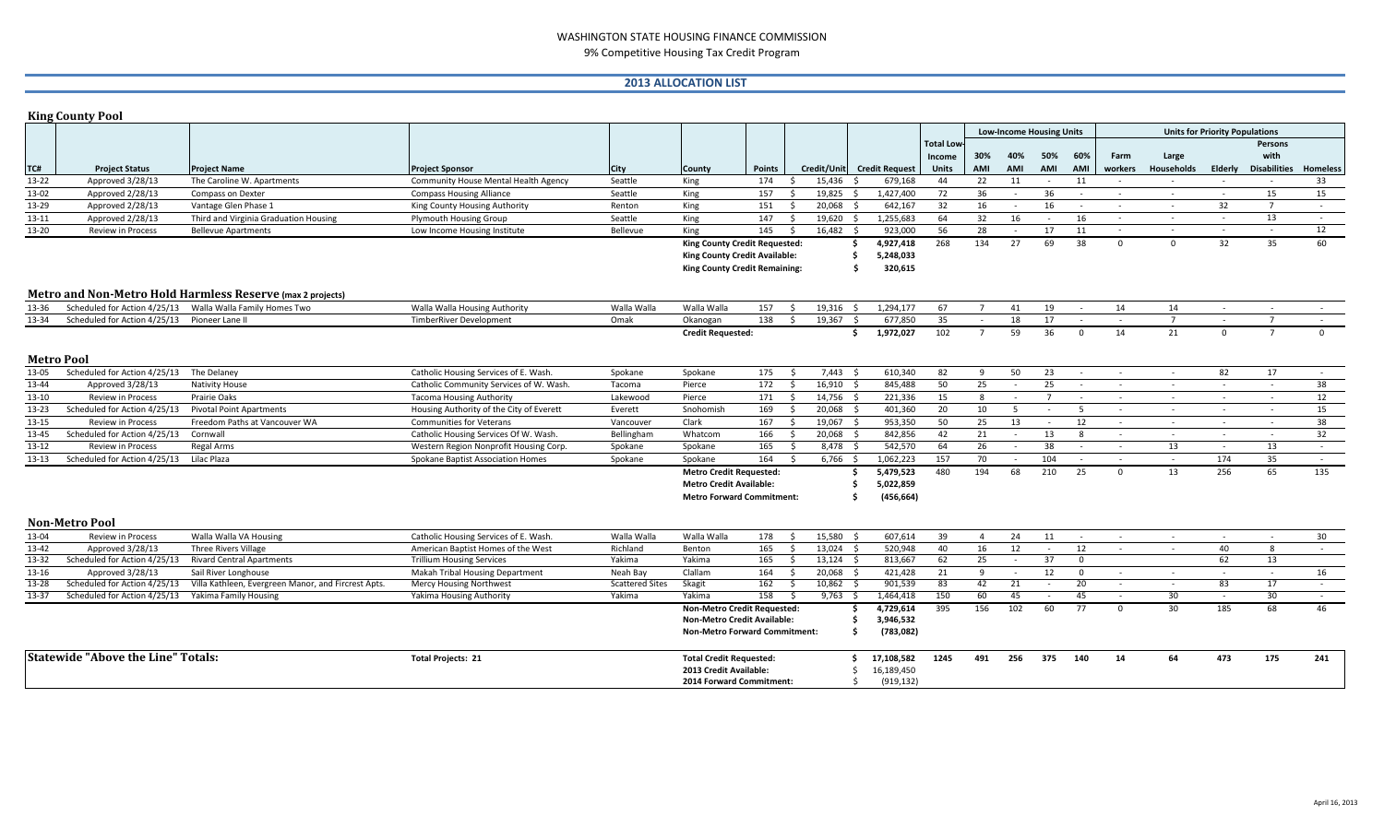### WASHINGTON STATE HOUSING FINANCE COMMISSION 9% Competitive Housing Tax Credit Program

## **2013 ALLOCATION LIST**

|           | <b>King County Pool</b>                                |                                                            |                                          |                        |                                      |                 |                                    |                            |                  |                                 |            |                |                  |                                       |                   |              |                     |                 |  |
|-----------|--------------------------------------------------------|------------------------------------------------------------|------------------------------------------|------------------------|--------------------------------------|-----------------|------------------------------------|----------------------------|------------------|---------------------------------|------------|----------------|------------------|---------------------------------------|-------------------|--------------|---------------------|-----------------|--|
|           |                                                        |                                                            |                                          |                        |                                      |                 |                                    |                            |                  | <b>Low-Income Housing Units</b> |            |                |                  | <b>Units for Priority Populations</b> |                   |              |                     |                 |  |
|           |                                                        |                                                            |                                          |                        |                                      |                 |                                    |                            | <b>Total Low</b> |                                 |            |                |                  |                                       |                   |              | Persons             |                 |  |
|           |                                                        |                                                            |                                          |                        |                                      |                 |                                    |                            | Income           | 30%                             | 40%        | 50%            | 60%              | Farm                                  | Large             |              | with                |                 |  |
| TC#       | <b>Project Status</b>                                  | <b>Project Name</b>                                        | <b>Project Sponsor</b>                   | City                   | County                               | <b>Points</b>   |                                    | Credit/Unit Credit Request | <b>Units</b>     | AMI                             | AMI        | AMI            | AMI              | workers                               | <b>Households</b> | Elderly      | <b>Disabilities</b> | <b>Homeless</b> |  |
| 13-22     | Approved 3/28/13                                       | The Caroline W. Apartments                                 | Community House Mental Health Agency     | Seattle                | King                                 | 174             | 15,436<br>S.                       | 679,168                    | 44               | 22                              | 11         | $\sim$         | 11               | $\sim$                                | $\sim$            | $\sim$       | $\sim$              | 33              |  |
| 13-02     | Approved 2/28/13                                       | Compass on Dexter                                          | <b>Compass Housing Alliance</b>          | Seattle                | King                                 | 157             | $19,825$ \$<br>$\ddot{\mathsf{s}}$ | 1,427,400                  | 72               | 36                              | $\sim$     | 36             | $\sim$           | $\sim$                                | $\sim$            | $\sim$       | 15                  | 15              |  |
| 13-29     | Approved 2/28/13                                       | Vantage Glen Phase 1                                       | King County Housing Authority            | Renton                 | King                                 | 151             | $\mathsf{S}$<br>20,068             | 642,167<br>$\zeta$         | 32               | 16                              |            | 16             |                  | $\sim$                                | $\sim$            | 32           | $\overline{7}$      | $\sim$          |  |
| 13-11     | Approved 2/28/13                                       | Third and Virginia Graduation Housing                      | <b>Plymouth Housing Group</b>            | Seattle                | King                                 | 147<br>- \$     | 19,620                             | 1,255,683<br>S,            | 64               | 32                              | 16         |                | 16               | $\sim$                                | $\sim$            | $\sim$       | 13                  | $\sim$          |  |
| 13-20     | Review in Process                                      | <b>Bellevue Apartments</b>                                 | Low Income Housing Institute             | Bellevue               | King                                 | 145             | 16,482<br>$\mathsf{S}$             | 923,000                    | 56               | 28                              | $\sim$     | 17             | 11               | $\sim$                                | $\sim$            | $\sim$ $-$   | $\sim$              | 12              |  |
|           |                                                        |                                                            |                                          |                        | King County Credit Requested:        |                 |                                    | 4,927,418<br>Ŝ             | 268              | 134                             | 27         | 69             | 38               | $\mathbf{0}$                          | $\mathbf{0}$      | 32           | 35                  | 60              |  |
|           |                                                        |                                                            |                                          |                        | King County Credit Available:        |                 |                                    | 5,248,033<br>\$.           |                  |                                 |            |                |                  |                                       |                   |              |                     |                 |  |
|           |                                                        |                                                            |                                          |                        | <b>King County Credit Remaining:</b> |                 |                                    | 320,615<br>Ŝ.              |                  |                                 |            |                |                  |                                       |                   |              |                     |                 |  |
|           |                                                        |                                                            |                                          |                        |                                      |                 |                                    |                            |                  |                                 |            |                |                  |                                       |                   |              |                     |                 |  |
|           |                                                        | Metro and Non-Metro Hold Harmless Reserve (max 2 projects) |                                          |                        |                                      |                 |                                    |                            |                  |                                 |            |                |                  |                                       |                   |              |                     |                 |  |
| 13-36     |                                                        | Scheduled for Action 4/25/13 Walla Walla Family Homes Two  | Walla Walla Housing Authority            | Walla Walla            | Walla Walla                          | $157 \quad$ \$  | $19,316$ \$                        | 1,294,177                  | 67               | $\overline{7}$                  | 41         | 19             | $\sim$ 100 $\mu$ | 14                                    | 14                | $\sim$       | $\sim$              | $\sim$          |  |
| 13-34     | Scheduled for Action 4/25/13 Pioneer Lane II           |                                                            | <b>TimberRiver Development</b>           | Omak                   | Okanogan                             | $138 \quad 5$   | $19,367$ \$                        | 677,850                    | 35               | $\sim$                          | 18         | 17             | $\sim$           | $\sim$                                | $7^{\circ}$       | $\sim$       | $\overline{7}$      | $\sim$          |  |
|           |                                                        |                                                            |                                          |                        | <b>Credit Requested:</b>             |                 |                                    | 1,972,027<br>\$            | 102              | $\overline{7}$                  | 59         | 36             | $\Omega$         | 14                                    | 21                | $\mathbf{0}$ | $\overline{7}$      | $\mathbf{0}$    |  |
|           |                                                        |                                                            |                                          |                        |                                      |                 |                                    |                            |                  |                                 |            |                |                  |                                       |                   |              |                     |                 |  |
|           | <b>Metro Pool</b>                                      |                                                            |                                          |                        |                                      |                 |                                    |                            |                  |                                 |            |                |                  |                                       |                   |              |                     |                 |  |
| 13-05     | Scheduled for Action 4/25/13 The Delaney               |                                                            | Catholic Housing Services of E. Wash.    | Spokane                | Spokane                              | 175             | 7,443<br>s.                        | 610,340                    | 82               | $\mathsf{q}$                    | 50         | 23             | $\sim$           | $\sim$                                | $\sim$            | 82           | 17                  | $\sim$ $-$      |  |
| 13-44     | Approved 3/28/13                                       | <b>Nativity House</b>                                      | Catholic Community Services of W. Wash.  | Tacoma                 | Pierce                               | 172             | 16,910<br>$\mathsf{S}$             | 845,488<br>- \$            | 50               | 25                              | $\sim$     | 25             | $\sim$           | $\sim$                                | $\sim$            | $\sim$       | $\sim$              | 38              |  |
| 13-10     | <b>Review in Process</b>                               | Prairie Oaks                                               | <b>Tacoma Housing Authority</b>          | Lakewood               | Pierce                               | 171<br>$\sim$ 5 | 14,756 \$                          | 221,336                    | 15               | 8                               | $\sim$     | $\overline{7}$ | $\sim$           | $\sim$                                | $\sim$            | $\sim$       | $\sim$              | 12              |  |
| 13-23     | Scheduled for Action 4/25/13                           | <b>Pivotal Point Apartments</b>                            | Housing Authority of the City of Everett | Everett                | Snohomish                            | 169             | 20,068<br>$\mathsf{S}$             | 401,360<br>$\zeta$         | 20               | 10                              | -5         |                | -5               |                                       | $\sim$            |              | $\sim$              | 15              |  |
| 13-15     | <b>Review in Process</b>                               | Freedom Paths at Vancouver WA                              | <b>Communities for Veterans</b>          | Vancouver              | Clark                                | 167             | $\mathsf{S}$<br>19,067             | 953,350<br>$\zeta$         | 50               | 25                              | 13         | $\sim$         | 12               | $\sim$                                | $\sim$            | $\sim$       | $\sim$              | 38              |  |
| 13-45     | Scheduled for Action 4/25/13                           | Cornwall                                                   | Catholic Housing Services Of W. Wash.    | Bellingham             | Whatcom                              | 166             | S.<br>20,068                       | 842,856<br>- Ś             | 42               | 21                              | $\sim$     | 13             | $\mathbf{R}$     | $\sim$                                | $\sim$            | $\sim$       |                     | 32              |  |
| 13-12     | Review in Process                                      | Regal Arms                                                 | Western Region Nonprofit Housing Corp.   | Spokane                | Spokane                              | 165             | Ś.<br>8,478                        | 542,570                    | 64               | 26                              | $\sim$     | 38             | $\sim$           | $\sim$                                | 13                | $\sim$       | 13                  | $\sim$          |  |
| $13 - 13$ | Scheduled for Action 4/25/13 Lilac Plaza               |                                                            | Spokane Baptist Association Homes        | Spokane                | Spokane                              | 164             | $6,766$ \$<br>S.                   | 1,062,223                  | 157              | 70                              | $\sim$     | 104            | $\sim$           | $\sim$                                | $\sim$ 10 $\pm$   | 174          | 35                  | $\sim$ $-$      |  |
|           |                                                        |                                                            |                                          |                        | <b>Metro Credit Requested:</b>       |                 |                                    | 5,479,523                  | 480              | 194                             | 68         | 210            | 25               | $\Omega$                              | 13                | 256          | 65                  | 135             |  |
|           |                                                        |                                                            |                                          |                        | <b>Metro Credit Available:</b>       |                 | 5,022,859<br>\$.                   |                            |                  |                                 |            |                |                  |                                       |                   |              |                     |                 |  |
|           |                                                        |                                                            |                                          |                        | <b>Metro Forward Commitment:</b>     |                 |                                    | (456, 664)<br>Ŝ.           |                  |                                 |            |                |                  |                                       |                   |              |                     |                 |  |
|           |                                                        |                                                            |                                          |                        |                                      |                 |                                    |                            |                  |                                 |            |                |                  |                                       |                   |              |                     |                 |  |
|           | <b>Non-Metro Pool</b>                                  |                                                            |                                          |                        |                                      |                 |                                    |                            |                  |                                 |            |                |                  |                                       |                   |              |                     |                 |  |
| 13-04     | Review in Process                                      | Walla Walla VA Housing                                     | Catholic Housing Services of E. Wash.    | Walla Walla            | Walla Walla                          | 178             | 15,580<br>S.                       | 607,614                    | 39               | $\overline{4}$                  | 24         | 11             | $\sim 100$       | $\sim$                                | $\sim$            | $\sim$       | $\sim$              | 30              |  |
| 13-42     | Approved 3/28/13                                       | Three Rivers Village                                       | American Baptist Homes of the West       | Richland               | Benton                               | 165             | S.<br>$13.024$ \$                  | 520,948                    | 40               | 16                              | 12         | $\sim$         | 12               | $\sim$                                | $\sim$            | 40           | 8                   | $\sim$          |  |
| 13-32     | Scheduled for Action 4/25/13 Rivard Central Apartments |                                                            | <b>Trillium Housing Services</b>         | Yakima                 | Yakima                               | 165             | $\ddot{\mathsf{s}}$<br>$13,124$ \$ | 813,667                    | 62               | 25                              | $\sim$ $-$ | 37             | $\mathbf 0$      |                                       |                   | 62           | 13                  |                 |  |
| 13-16     | Approved 3/28/13                                       | Sail River Longhouse                                       | Makah Tribal Housing Department          | Neah Bay               | Clallam                              | 164             | \$<br>20,068                       | 421,428<br>$\leq$          | 21               | 9                               | $\sim$     | 12             | $\Omega$         | $\sim$                                | $\sim$            | $\sim$       | $\sim$              | 16              |  |
| 13-28     | Scheduled for Action 4/25/13                           | Villa Kathleen, Evergreen Manor, and Fircrest Apts.        | Mercy Housing Northwest                  | <b>Scattered Sites</b> | Skagit                               | 162             | 10,862<br>- \$                     | 901,539                    | 83               | 42                              | 21         | $\sim$         | 20               | $\sim$                                | $\sim$            | 83           | 17                  | $\sim$ $-$      |  |
| 13-37     | Scheduled for Action 4/25/13                           | Yakima Family Housing                                      | Yakima Housing Authority                 | Yakima                 | Yakima                               | 158             | $9,763$ \$<br>- \$                 | 1,464,418                  | 150              | 60                              | 45         | $\sim$         | 45               | $\sim$                                | 30                | $\sim$       | 30                  | $\sim$          |  |
|           |                                                        |                                                            |                                          |                        | <b>Non-Metro Credit Requested:</b>   |                 |                                    | 4,729,614                  | 395              | 156                             | 102        | 60             | 77               | $\Omega$                              | 30                | 185          | 68                  | 46              |  |
|           |                                                        |                                                            |                                          |                        | <b>Non-Metro Credit Available:</b>   |                 |                                    | 3,946,532                  |                  |                                 |            |                |                  |                                       |                   |              |                     |                 |  |
|           |                                                        |                                                            |                                          |                        | <b>Non-Metro Forward Commitment:</b> |                 |                                    | Ŝ.<br>(783, 082)           |                  |                                 |            |                |                  |                                       |                   |              |                     |                 |  |
|           | <b>Statewide "Above the Line" Totals:</b>              |                                                            | <b>Total Projects: 21</b>                |                        | <b>Total Credit Requested:</b>       |                 |                                    | 17,108,582                 | 1245             | 491                             | 256        | 375            | 140              | 14                                    | 64                | 473          | 175                 | 241             |  |
|           |                                                        |                                                            |                                          |                        | 2013 Credit Available:               |                 |                                    | 16,189,450<br>Ŝ            |                  |                                 |            |                |                  |                                       |                   |              |                     |                 |  |
|           |                                                        |                                                            |                                          |                        | <b>2014 Forward Commitment:</b>      |                 |                                    | (919, 132)<br>Ŝ.           |                  |                                 |            |                |                  |                                       |                   |              |                     |                 |  |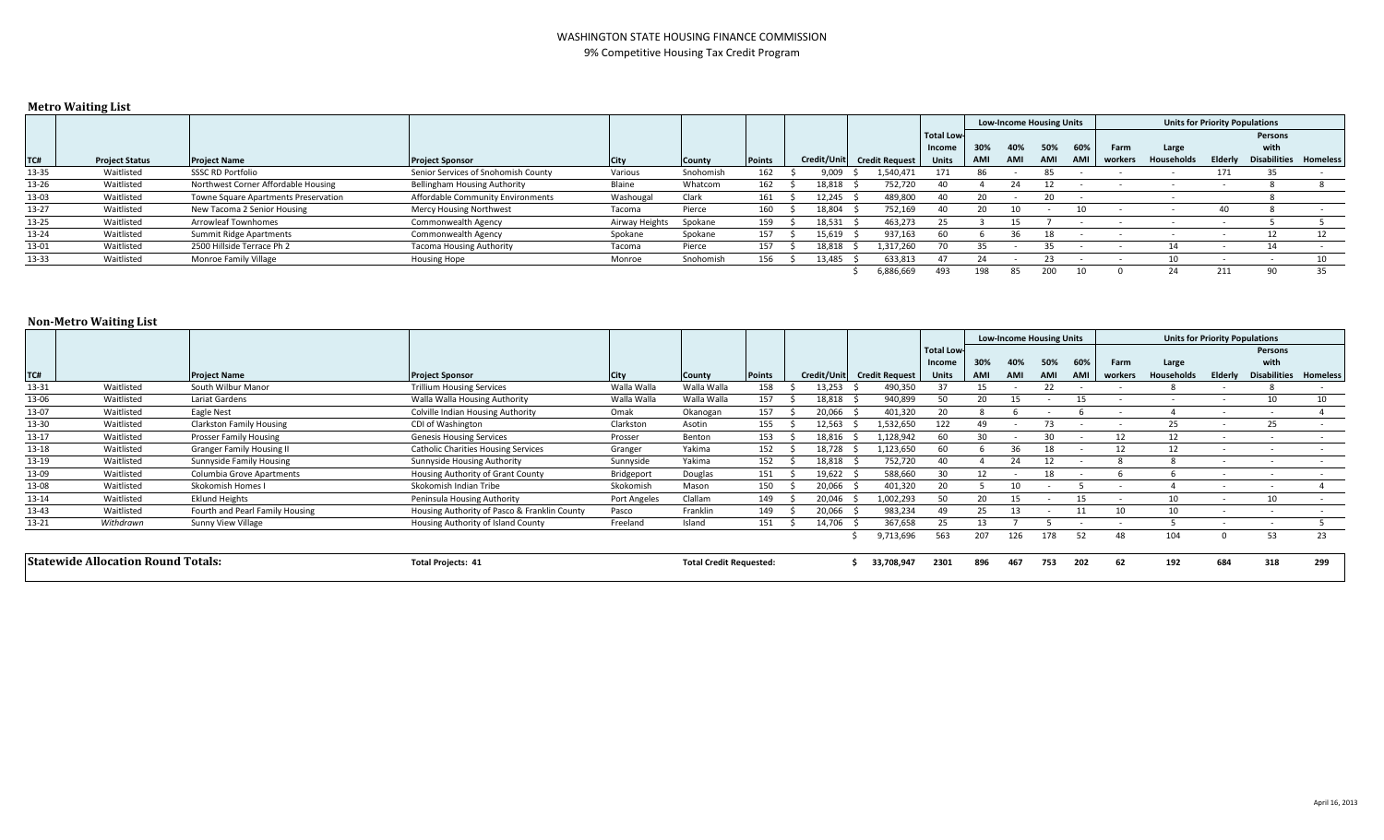#### WASHINGTON STATE HOUSING FINANCE COMMISSION 9% Competitive Housing Tax Credit Program

### **Metro Waiting List**

|       |                       |                                      |                                     |                |           |               |        |                            |                   | <b>Low-Income Housing Units</b> |     |     |     |         |                   | <b>Units for Priority Populations</b> |                     |                 |  |  |
|-------|-----------------------|--------------------------------------|-------------------------------------|----------------|-----------|---------------|--------|----------------------------|-------------------|---------------------------------|-----|-----|-----|---------|-------------------|---------------------------------------|---------------------|-----------------|--|--|
|       |                       |                                      |                                     |                |           |               |        |                            | <b>Total Low-</b> |                                 |     |     |     |         |                   |                                       | Persons             |                 |  |  |
|       |                       |                                      |                                     |                |           |               |        |                            | Income            | 30%                             | 40% | 50% | 60% | Farm    | Large             |                                       | with                |                 |  |  |
| TC#   | <b>Project Status</b> | <b>Project Name</b>                  | <b>Project Sponsor</b>              | <b>City</b>    | County    | <b>Points</b> |        | Credit/Unit Credit Request | <b>Units</b>      | AMI                             | AMI | AMI | AMI | workers | <b>Households</b> | Elderly                               | <b>Disabilities</b> | <b>Homeless</b> |  |  |
| 13-35 | Waitlisted            | <b>SSSC RD Portfolio</b>             | Senior Services of Snohomish County | Various        | Snohomish | 162           | 9,009  | 1,540,471                  |                   |                                 |     |     |     |         |                   | 171                                   |                     |                 |  |  |
| 13-26 | Waitlisted            | Northwest Corner Affordable Housing  | Bellingham Housing Authority        | Blaine         | Whatcom   | 162           | 18,818 | 752.720                    |                   |                                 |     |     |     |         |                   |                                       |                     |                 |  |  |
| 13-03 | Waitlisted            | Towne Square Apartments Preservation | Affordable Community Environments   | Washougal      | Clark     | 161           | 12.245 | 489,800                    |                   |                                 |     |     |     |         |                   |                                       |                     |                 |  |  |
| 13-27 | Waitlisted            | New Tacoma 2 Senior Housing          | Mercy Housing Northwest             | Tacoma         | Pierce    | 160           | 18.804 | 752.169                    |                   |                                 |     |     | 10  |         |                   | 40                                    |                     |                 |  |  |
| 13-25 | Waitlisted            | Arrowleaf Townhomes                  | Commonwealth Agency                 | Airway Heights | Spokane   | 159           | 18.531 | 463.273                    | ᄼ                 |                                 |     |     |     |         |                   |                                       |                     |                 |  |  |
| 13-24 | Waitlisted            | Summit Ridge Apartments              | Commonwealth Agency                 | Spokane        | Spokane   | 157           | 15,619 | 937,163                    |                   |                                 |     |     |     |         |                   |                                       |                     |                 |  |  |
| 13-01 | Waitlisted            | 2500 Hillside Terrace Ph 2           | <b>Tacoma Housing Authority</b>     | Tacoma         | Pierce    | 157           | 18,818 | 1.317.260                  |                   |                                 |     | 35. |     |         |                   |                                       |                     |                 |  |  |
| 13-33 | Waitlisted            | Monroe Family Village                | <b>Housing Hope</b>                 | Monroe         | Snohomish | 156           | 13.485 | 633.813                    |                   |                                 |     |     |     |         |                   |                                       |                     |                 |  |  |
|       |                       |                                      |                                     |                |           |               |        | 6,886,669                  | 493               | 198                             |     |     |     |         | 24                | 211                                   |                     | 35              |  |  |

### **Non-Metro Waiting List**

|                                           |            |                                  |                                              |                     |                                |               |             |                       |                   | <b>Low-Income Housing Units</b> |     | <b>Units for Priority Populations</b> |            |         |            |                          |         |                       |
|-------------------------------------------|------------|----------------------------------|----------------------------------------------|---------------------|--------------------------------|---------------|-------------|-----------------------|-------------------|---------------------------------|-----|---------------------------------------|------------|---------|------------|--------------------------|---------|-----------------------|
|                                           |            |                                  |                                              |                     |                                |               |             |                       | <b>Total Low-</b> |                                 |     |                                       |            |         |            |                          | Persons |                       |
|                                           |            |                                  |                                              |                     |                                |               |             |                       | Income            | 30%                             | 40% | 50%                                   | 60%        | Farm    | Large      |                          | with    |                       |
| TC#                                       |            | <b>Project Name</b>              | <b>Project Sponsor</b>                       | <b>City</b>         | <b>County</b>                  | <b>Points</b> | Credit/Unit | <b>Credit Request</b> | <b>Units</b>      | AMI                             |     | <b>AMI</b>                            | <b>AMI</b> | workers | Households | Elderly                  |         | Disabilities Homeless |
| 13-31                                     | Waitlisted | South Wilbur Manor               | <b>Trillium Housing Services</b>             | Walla Walla         | Walla Walla                    | 158           | 13,253      | 490,350               |                   |                                 |     | 22                                    |            |         |            |                          |         |                       |
| 13-06                                     | Waitlisted | Lariat Gardens                   | Walla Walla Housing Authority                | Walla Walla         | Walla Walla                    | 157           | 18,818      | 940,899               |                   |                                 |     |                                       |            |         |            |                          | 10      | 10                    |
| 13-07                                     | Waitlisted | Eagle Nest                       | Colville Indian Housing Authority            | Omak                | Okanogan                       | 157           | 20,066      | 401,320               |                   |                                 |     |                                       |            |         |            |                          |         |                       |
| 13-30                                     | Waitlisted | <b>Clarkston Family Housing</b>  | CDI of Washington                            | Clarkston           | Asotin                         | 155           | 12,563      | 1,532,650             | 122               | 49                              |     | 73                                    |            |         | 25         |                          | 25      |                       |
| 13-17                                     | Waitlisted | Prosser Family Housing           | <b>Genesis Housing Services</b>              | Prosser             | Benton                         | 153           | 18,816      | 1,128,942             | 60                | 30                              |     | 30                                    |            | 12      | 12         |                          |         |                       |
| 13-18                                     | Waitlisted | <b>Granger Family Housing II</b> | <b>Catholic Charities Housing Services</b>   | Granger             | Yakima                         | 152           | 18,728      | 1,123,650             |                   |                                 | 36  |                                       |            | 12      | 12         |                          |         |                       |
| 13-19                                     | Waitlisted | Sunnyside Family Housing         | Sunnyside Housing Authority                  | Sunnyside           | Yakima                         | 152           | 18,818      | 752,720               |                   |                                 |     |                                       |            |         |            | $\overline{\phantom{a}}$ |         |                       |
| 13-09                                     | Waitlisted | Columbia Grove Apartments        | Housing Authority of Grant County            | Bridgeport          | Douglas                        | 151           | 19,622      | 588,660               |                   |                                 |     |                                       |            |         |            |                          |         |                       |
| 13-08                                     | Waitlisted | Skokomish Homes I                | Skokomish Indian Tribe                       | Skokomish           | Mason                          | 150           | 20,066      | 401,320               |                   |                                 |     |                                       |            |         |            |                          |         |                       |
| $13 - 14$                                 | Waitlisted | <b>Eklund Heights</b>            | Peninsula Housing Authority                  | <b>Port Angeles</b> | Clallam                        | 149           | 20,046      | 1,002,293             |                   |                                 |     |                                       |            |         |            |                          | 10      |                       |
| 13-43                                     | Waitlisted | Fourth and Pearl Family Housing  | Housing Authority of Pasco & Franklin County | Pasco               | Franklin                       | 149           | 20,066      | 983,234               | 49                |                                 |     |                                       |            |         |            |                          |         |                       |
| 13-21                                     | Withdrawn  | Sunny View Village               | Housing Authority of Island County           | Freeland            | Island                         | 151           | 14,706      | 367,658               | 25                |                                 |     |                                       |            |         |            |                          |         |                       |
|                                           |            |                                  |                                              |                     |                                |               |             | 9,713,696             | 563               | 207                             | 126 | 178                                   | 52         | 48      | 104        |                          | 53      | 23                    |
| <b>Statewide Allocation Round Totals:</b> |            |                                  | <b>Total Projects: 41</b>                    |                     | <b>Total Credit Requested:</b> |               |             | 33,708,947            | 2301              | 896                             | 467 | 753                                   | 202        | 62      | 192        | 684                      | 318     | 299                   |